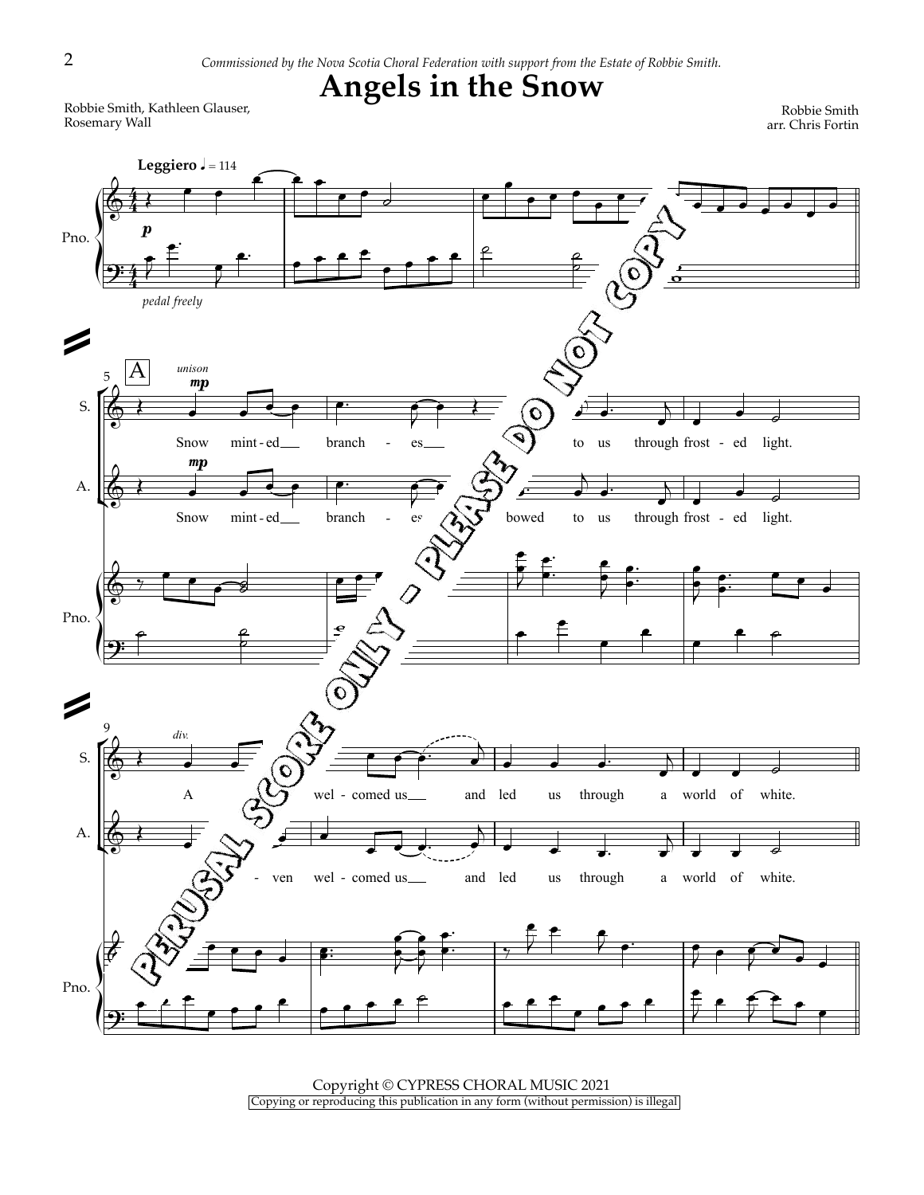## Angels in the Snow

Robbie Smith, Kathleen Glauser, Rosemary Wall

Robbie Smith arr. Chris Fortin



Copyright © CYPRESS CHORAL MUSIC 2021 Copying or reproducing this publication in any form (without permission) is illegal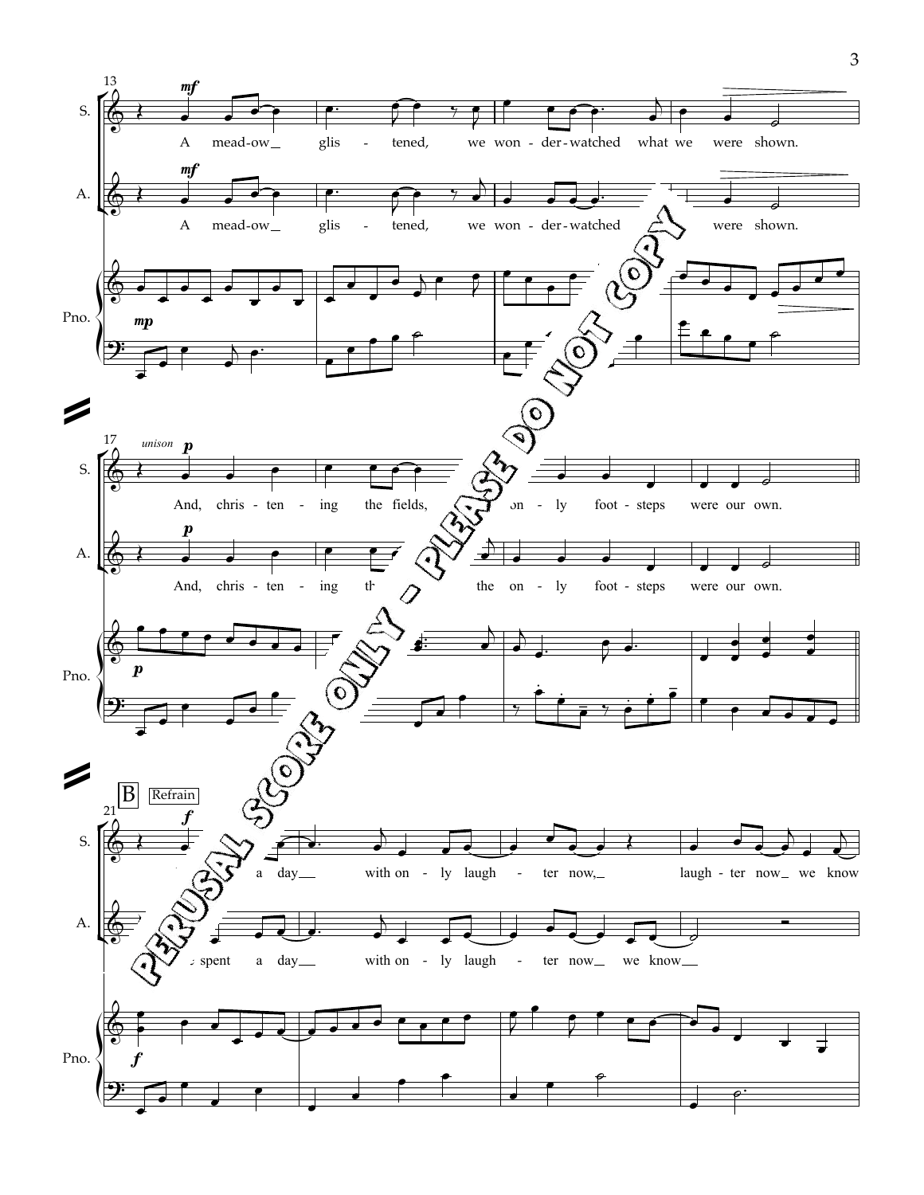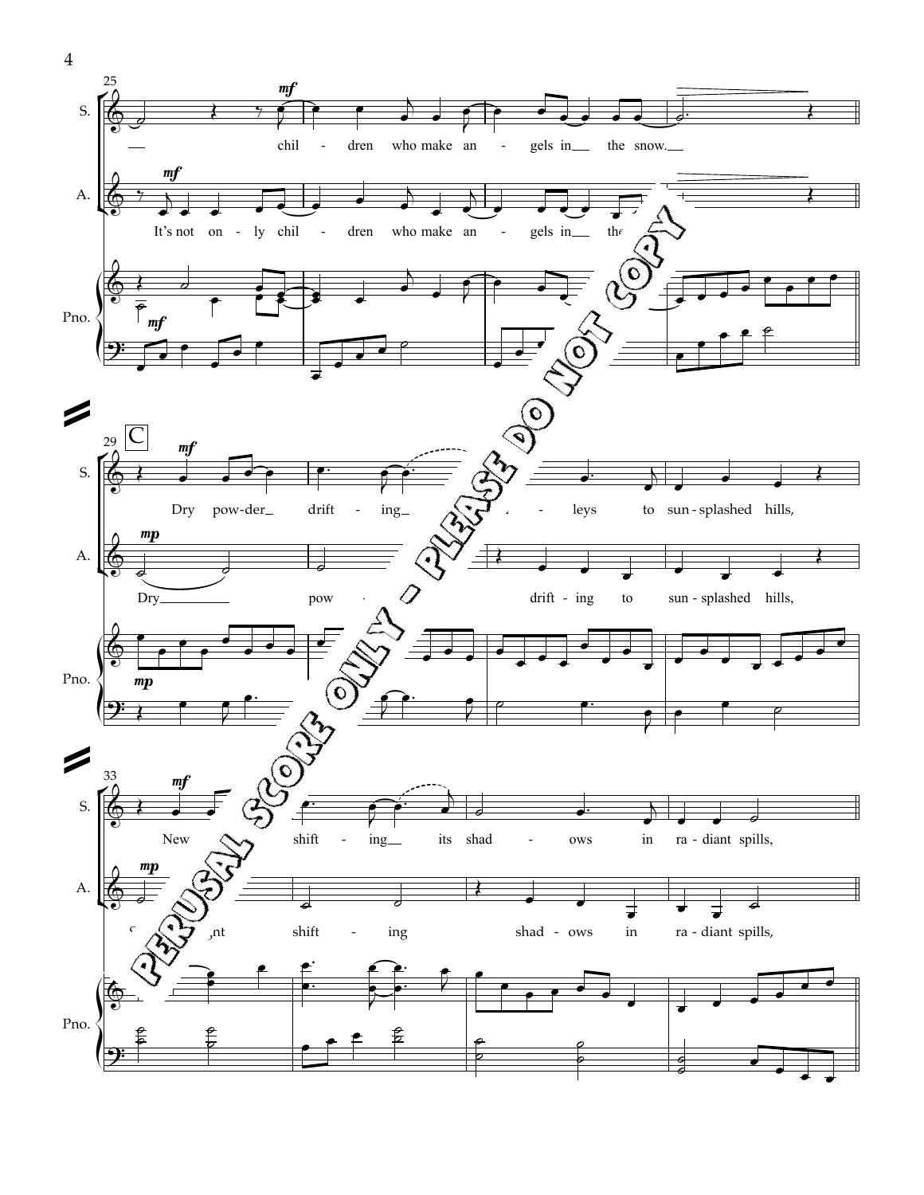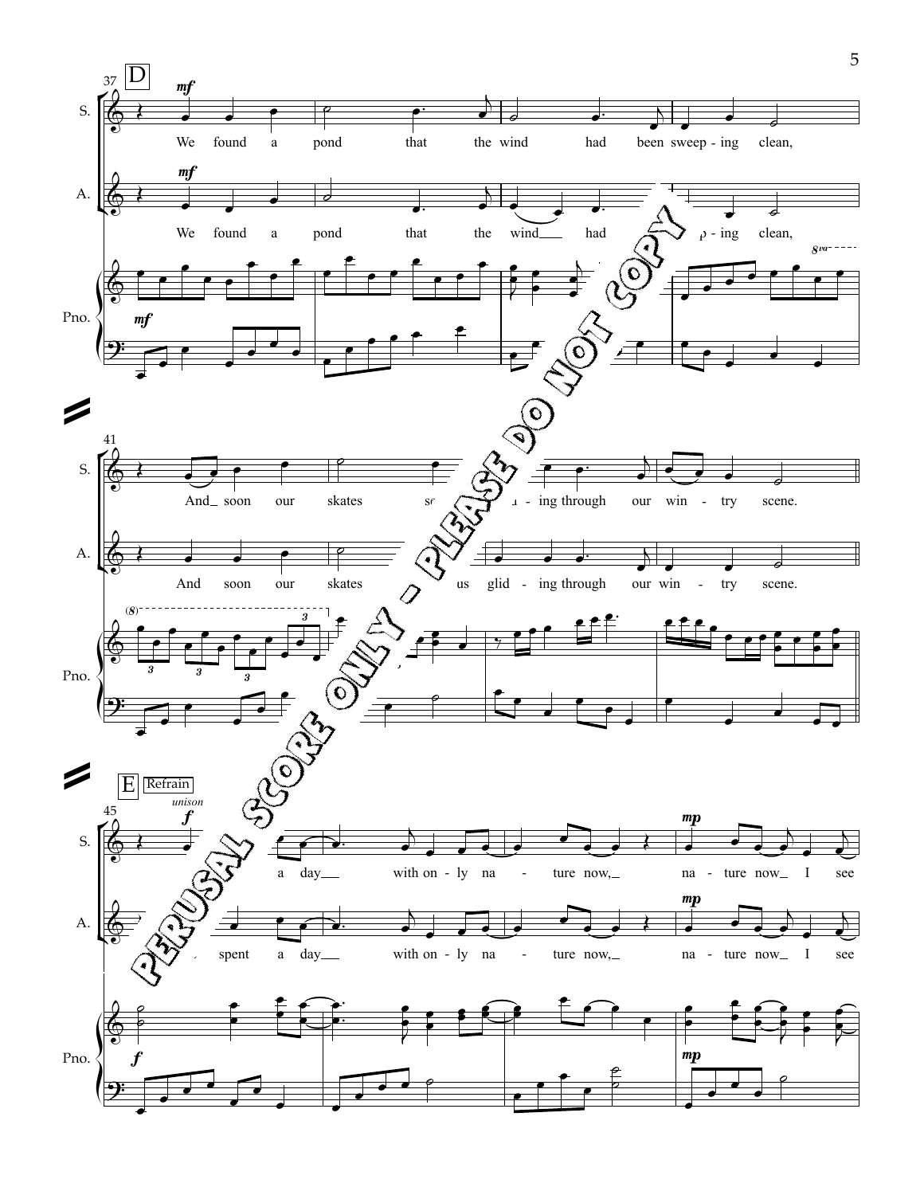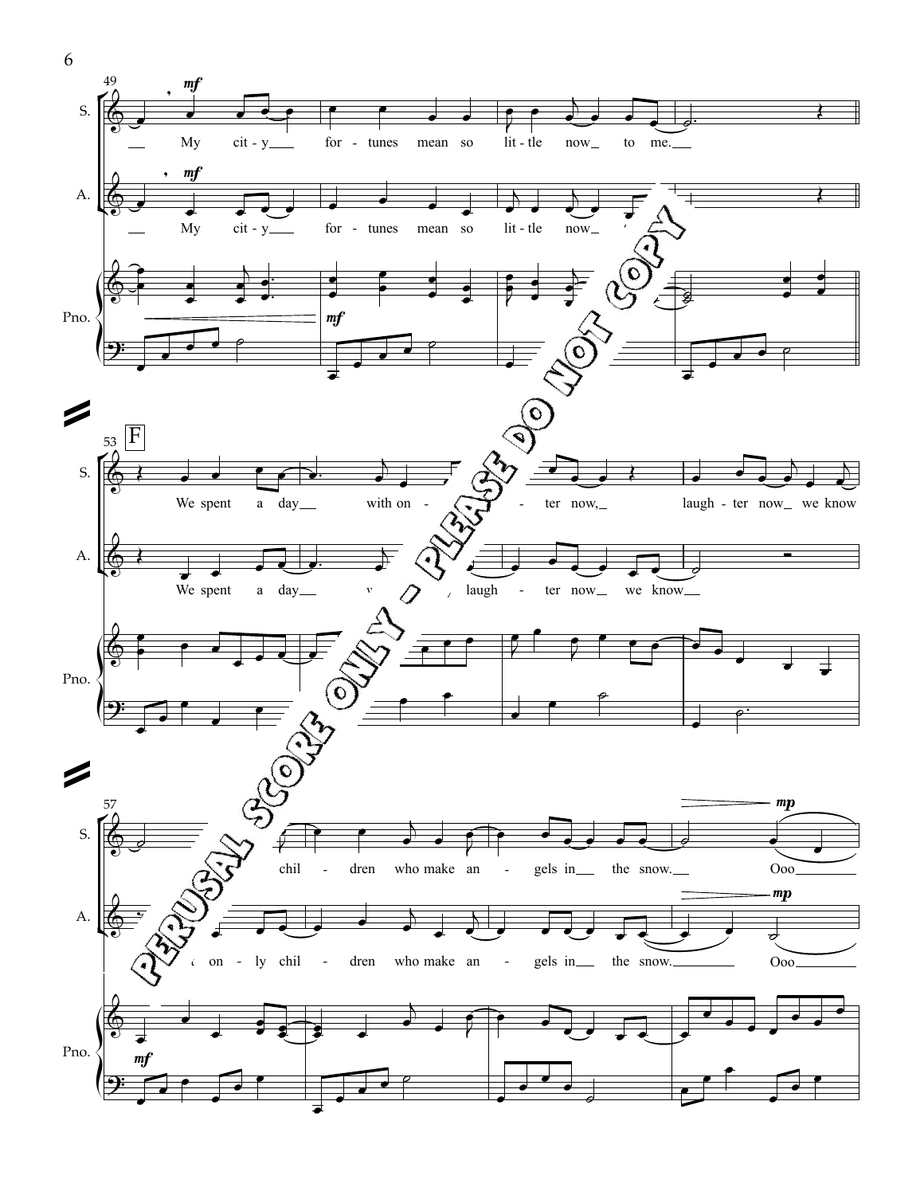

6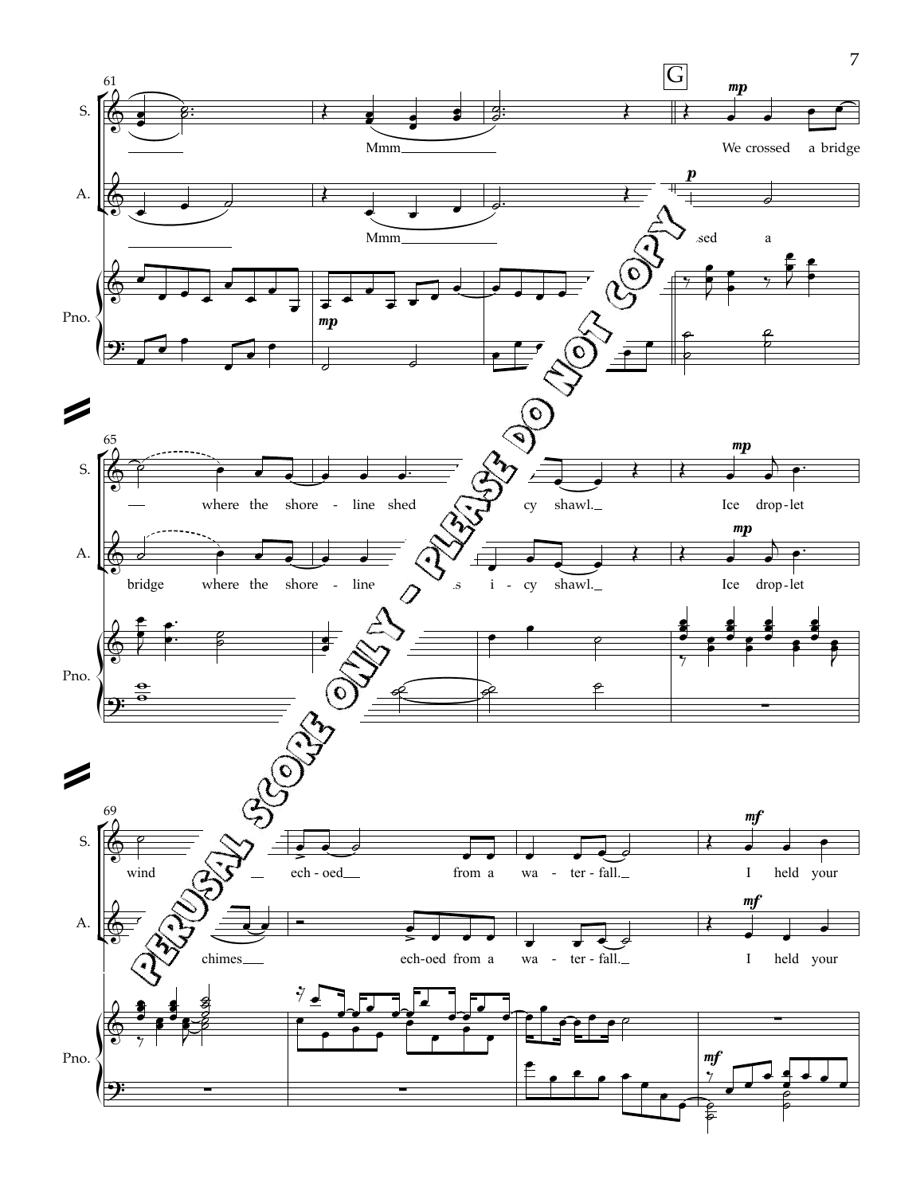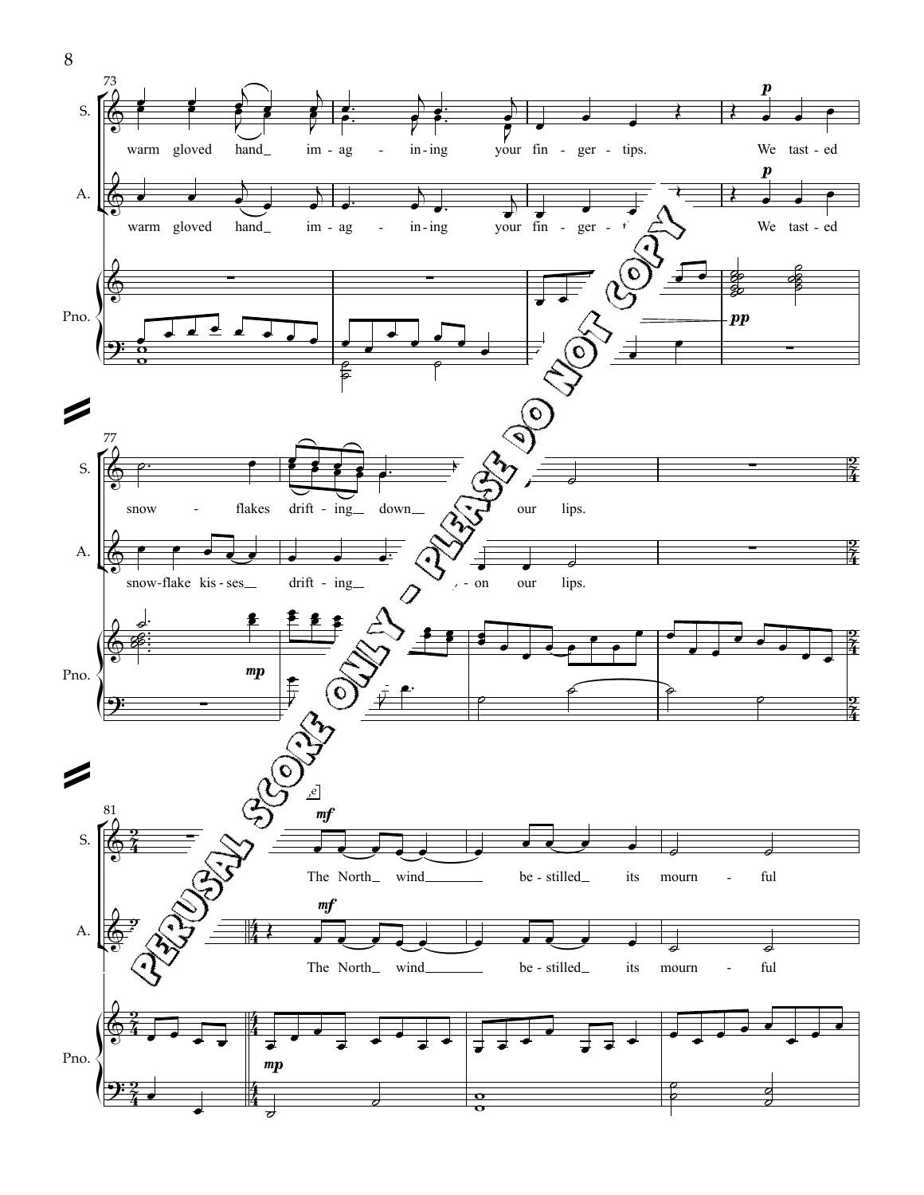

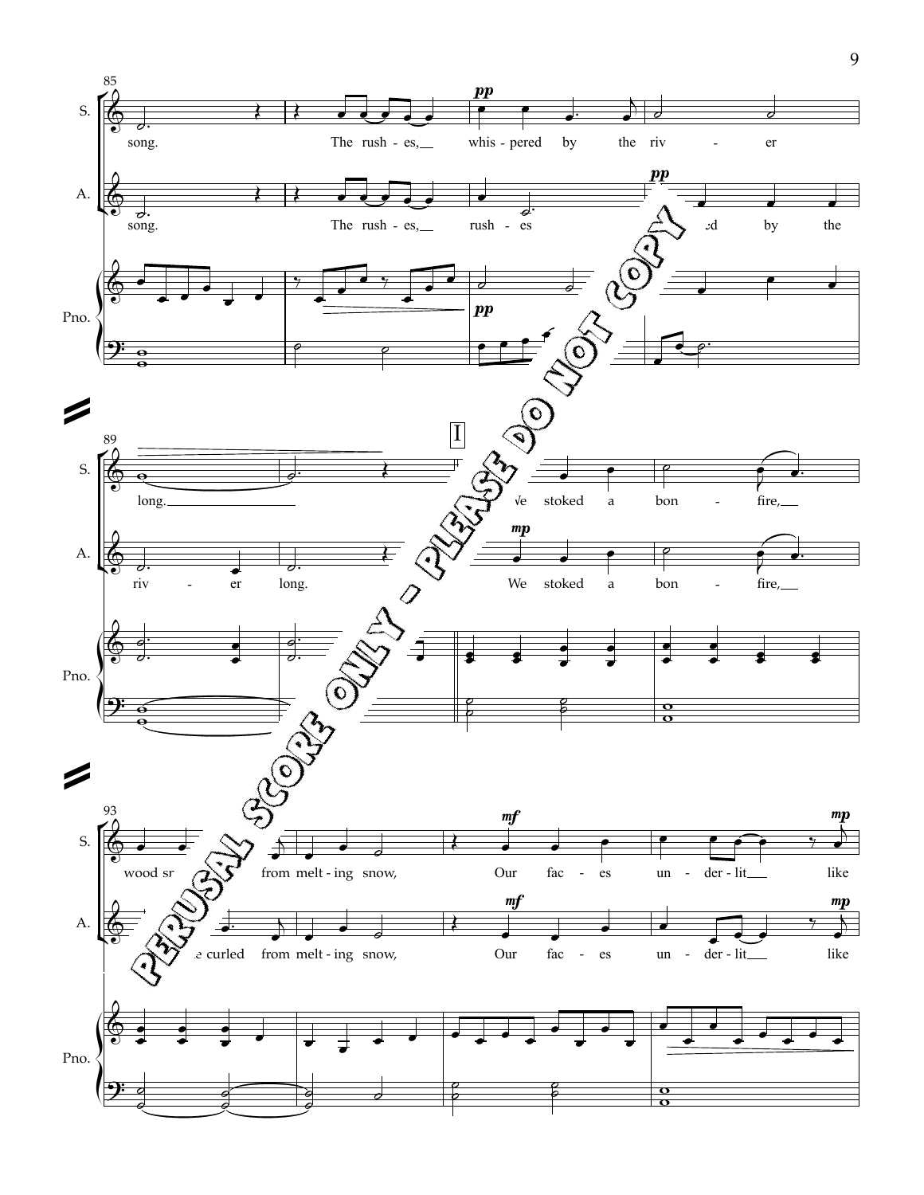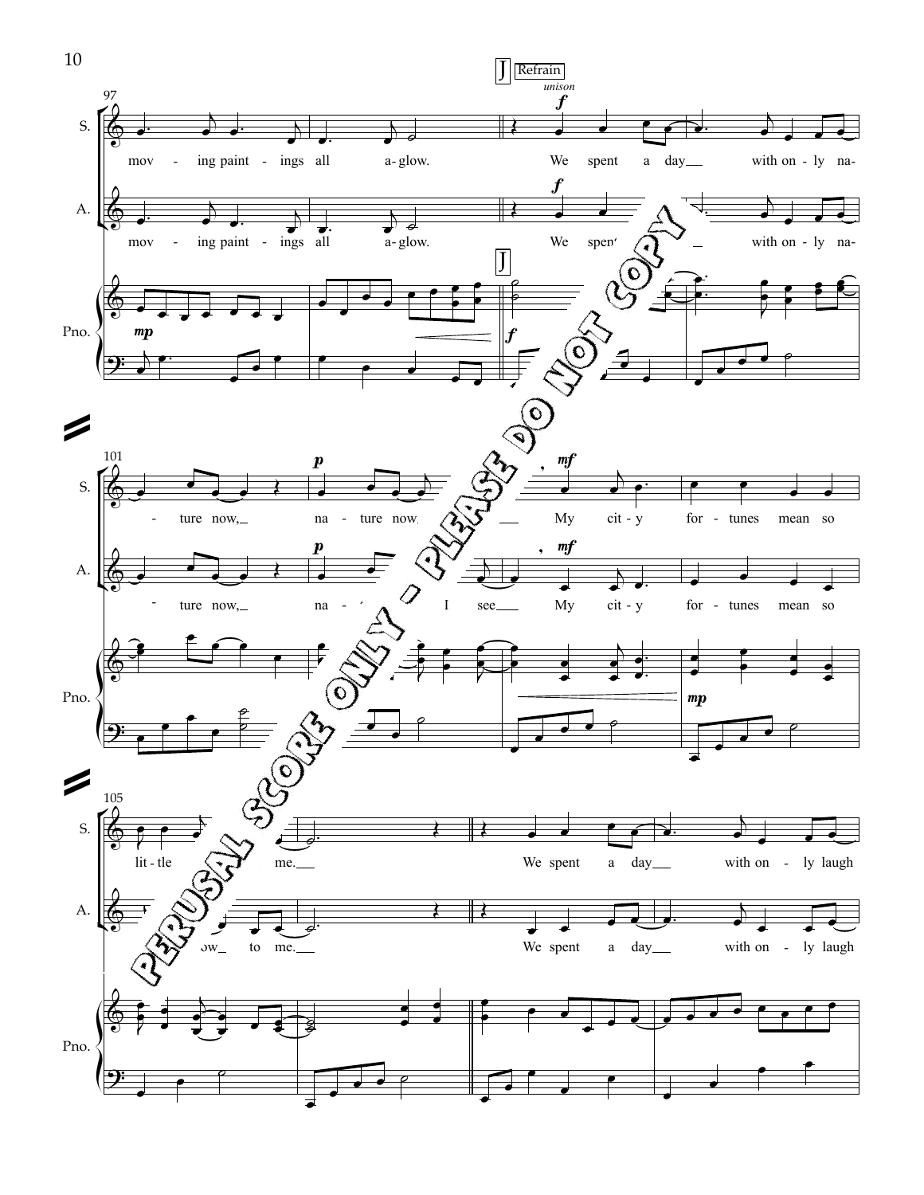